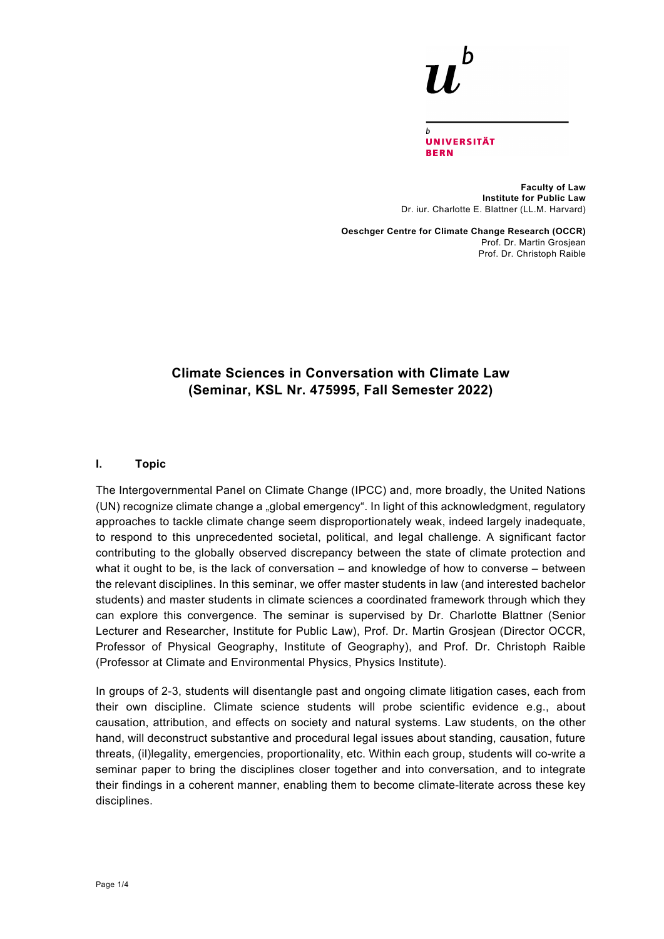**UNIVERSITÄT BERN** 

**Faculty of Law Institute for Public Law** Dr. iur. Charlotte E. Blattner (LL.M. Harvard)

**Oeschger Centre for Climate Change Research (OCCR)** Prof. Dr. Martin Grosjean Prof. Dr. Christoph Raible

# **Climate Sciences in Conversation with Climate Law (Seminar, KSL Nr. 475995, Fall Semester 2022)**

#### **I. Topic**

The Intergovernmental Panel on Climate Change (IPCC) and, more broadly, the United Nations (UN) recognize climate change a "global emergency". In light of this acknowledgment, regulatory approaches to tackle climate change seem disproportionately weak, indeed largely inadequate, to respond to this unprecedented societal, political, and legal challenge. A significant factor contributing to the globally observed discrepancy between the state of climate protection and what it ought to be, is the lack of conversation – and knowledge of how to converse – between the relevant disciplines. In this seminar, we offer master students in law (and interested bachelor students) and master students in climate sciences a coordinated framework through which they can explore this convergence. The seminar is supervised by Dr. Charlotte Blattner (Senior Lecturer and Researcher, Institute for Public Law), Prof. Dr. Martin Grosjean (Director OCCR, Professor of Physical Geography, Institute of Geography), and Prof. Dr. Christoph Raible (Professor at Climate and Environmental Physics, Physics Institute).

In groups of 2-3, students will disentangle past and ongoing climate litigation cases, each from their own discipline. Climate science students will probe scientific evidence e.g., about causation, attribution, and effects on society and natural systems. Law students, on the other hand, will deconstruct substantive and procedural legal issues about standing, causation, future threats, (il)legality, emergencies, proportionality, etc. Within each group, students will co-write a seminar paper to bring the disciplines closer together and into conversation, and to integrate their findings in a coherent manner, enabling them to become climate-literate across these key disciplines.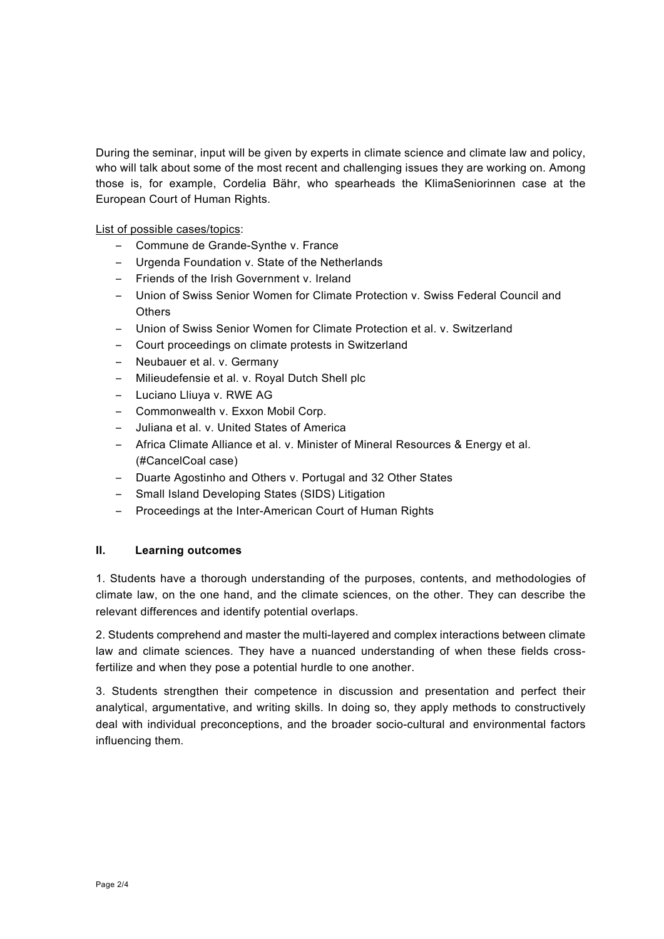During the seminar, input will be given by experts in climate science and climate law and policy, who will talk about some of the most recent and challenging issues they are working on. Among those is, for example, Cordelia Bähr, who spearheads the KlimaSeniorinnen case at the European Court of Human Rights.

List of possible cases/topics:

- Commune de Grande-Synthe v. France
- Urgenda Foundation v. State of the Netherlands
- Friends of the Irish Government v. Ireland
- Union of Swiss Senior Women for Climate Protection v. Swiss Federal Council and **Others**
- Union of Swiss Senior Women for Climate Protection et al. v. Switzerland
- Court proceedings on climate protests in Switzerland
- Neubauer et al. v. Germany
- Milieudefensie et al. v. Royal Dutch Shell plc
- Luciano Lliuya v. RWE AG
- Commonwealth v. Exxon Mobil Corp.
- Juliana et al. v. United States of America
- Africa Climate Alliance et al. v. Minister of Mineral Resources & Energy et al. (#CancelCoal case)
- Duarte Agostinho and Others v. Portugal and 32 Other States
- Small Island Developing States (SIDS) Litigation
- Proceedings at the Inter-American Court of Human Rights

### **II. Learning outcomes**

1. Students have a thorough understanding of the purposes, contents, and methodologies of climate law, on the one hand, and the climate sciences, on the other. They can describe the relevant differences and identify potential overlaps.

2. Students comprehend and master the multi-layered and complex interactions between climate law and climate sciences. They have a nuanced understanding of when these fields crossfertilize and when they pose a potential hurdle to one another.

3. Students strengthen their competence in discussion and presentation and perfect their analytical, argumentative, and writing skills. In doing so, they apply methods to constructively deal with individual preconceptions, and the broader socio-cultural and environmental factors influencing them.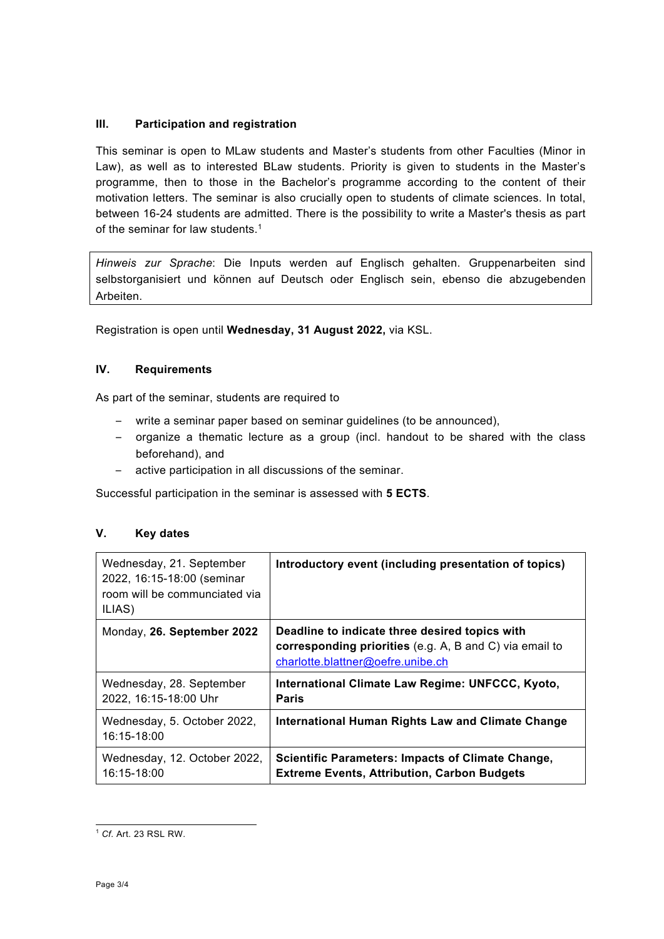# **III. Participation and registration**

This seminar is open to MLaw students and Master's students from other Faculties (Minor in Law), as well as to interested BLaw students. Priority is given to students in the Master's programme, then to those in the Bachelor's programme according to the content of their motivation letters. The seminar is also crucially open to students of climate sciences. In total, between 16-24 students are admitted. There is the possibility to write a Master's thesis as part of the seminar for law students.<sup>1</sup>

*Hinweis zur Sprache*: Die Inputs werden auf Englisch gehalten. Gruppenarbeiten sind selbstorganisiert und können auf Deutsch oder Englisch sein, ebenso die abzugebenden Arbeiten.

Registration is open until **Wednesday, 31 August 2022,** via KSL.

## **IV. Requirements**

As part of the seminar, students are required to

- write a seminar paper based on seminar guidelines (to be announced),
- organize a thematic lecture as a group (incl. handout to be shared with the class beforehand), and
- active participation in all discussions of the seminar.

Successful participation in the seminar is assessed with **5 ECTS**.

# **V. Key dates**

| Wednesday, 21. September<br>2022, 16:15-18:00 (seminar<br>room will be communciated via<br>ILIAS) | Introductory event (including presentation of topics)                                                                                                 |
|---------------------------------------------------------------------------------------------------|-------------------------------------------------------------------------------------------------------------------------------------------------------|
| Monday, 26. September 2022                                                                        | Deadline to indicate three desired topics with<br><b>corresponding priorities</b> (e.g. A, B and C) via email to<br>charlotte.blattner@oefre.unibe.ch |
| Wednesday, 28. September<br>2022, 16:15-18:00 Uhr                                                 | International Climate Law Regime: UNFCCC, Kyoto,<br><b>Paris</b>                                                                                      |
| Wednesday, 5. October 2022,<br>16:15-18:00                                                        | <b>International Human Rights Law and Climate Change</b>                                                                                              |
| Wednesday, 12. October 2022,<br>16:15-18:00                                                       | <b>Scientific Parameters: Impacts of Climate Change,</b><br><b>Extreme Events, Attribution, Carbon Budgets</b>                                        |

<sup>1</sup> *Cf*. Art. 23 RSL RW.